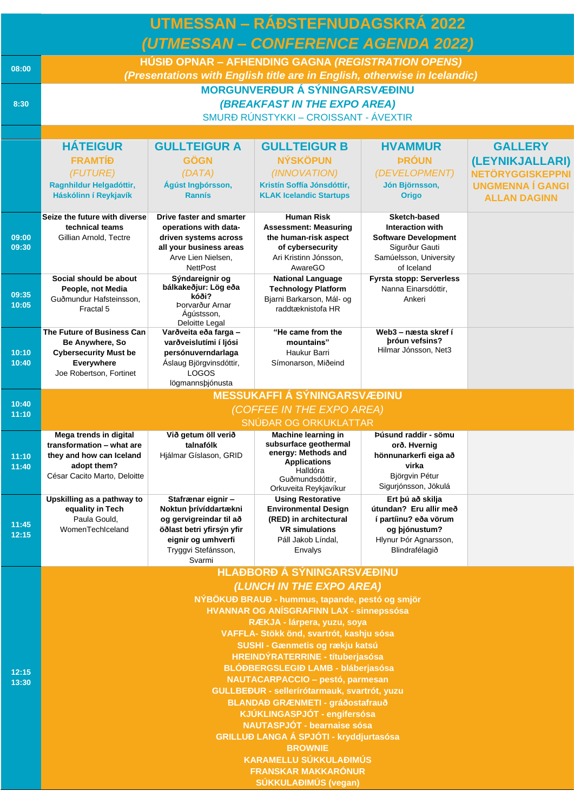| <b>UTMESSAN - RÁÐSTEFNUDAGSKRÁ 2022</b> |                                                                                                                                 |                                                                                                                                                            |                                                                                                                                                                      |                                                                                                                                  |                                                                                                                |  |  |  |  |  |
|-----------------------------------------|---------------------------------------------------------------------------------------------------------------------------------|------------------------------------------------------------------------------------------------------------------------------------------------------------|----------------------------------------------------------------------------------------------------------------------------------------------------------------------|----------------------------------------------------------------------------------------------------------------------------------|----------------------------------------------------------------------------------------------------------------|--|--|--|--|--|
|                                         | (UTMESSAN - CONFERENCE AGENDA 2022)                                                                                             |                                                                                                                                                            |                                                                                                                                                                      |                                                                                                                                  |                                                                                                                |  |  |  |  |  |
| 08:00                                   | HÚSIÐ OPNAR – AFHENDING GAGNA (REGISTRATION OPENS)<br>(Presentations with English title are in English, otherwise in Icelandic) |                                                                                                                                                            |                                                                                                                                                                      |                                                                                                                                  |                                                                                                                |  |  |  |  |  |
| 8:30                                    | <b>MORGUNVERÐUR Á SÝNINGARSVÆÐINU</b><br><b>(BREAKFAST IN THE EXPO AREA)</b><br>SMURÐ RÚNSTYKKI - CROISSANT - ÁVEXTIR           |                                                                                                                                                            |                                                                                                                                                                      |                                                                                                                                  |                                                                                                                |  |  |  |  |  |
|                                         |                                                                                                                                 |                                                                                                                                                            |                                                                                                                                                                      |                                                                                                                                  |                                                                                                                |  |  |  |  |  |
|                                         | <b>HÁTEIGUR</b><br><b>FRAMTÍÐ</b><br>(FUTURE)<br>Ragnhildur Helgadóttir,<br>Háskólinn í Reykjavík                               | <b>GULLTEIGUR A</b><br><b>GÖGN</b><br>(DATA)<br>Ágúst Ingþórsson,<br><b>Rannís</b>                                                                         | <b>GULLTEIGUR B</b><br><b>NÝSKÖPUN</b><br>(INNOVATION)<br>Kristín Soffía Jónsdóttir,<br><b>KLAK Icelandic Startups</b>                                               | <b>HVAMMUR</b><br><b>ÞRÓUN</b><br>(DEVELOPMENT)<br>Jón Björnsson,<br><b>Origo</b>                                                | <b>GALLERY</b><br>(LEYNIKJALLARI)<br><b>NETÖRYGGISKEPPNI</b><br><b>UNGMENNA Í GANGI</b><br><b>ALLAN DAGINN</b> |  |  |  |  |  |
| 09:00<br>09:30                          | Seize the future with diverse<br>technical teams<br>Gillian Arnold, Tectre                                                      | Drive faster and smarter<br>operations with data-<br>driven systems across<br>all your business areas<br>Arve Lien Nielsen,<br><b>NettPost</b>             | <b>Human Risk</b><br><b>Assessment: Measuring</b><br>the human-risk aspect<br>of cybersecurity<br>Ari Kristinn Jónsson,<br>AwareGO                                   | Sketch-based<br><b>Interaction with</b><br><b>Software Development</b><br>Sigurður Gauti<br>Samúelsson, University<br>of Iceland |                                                                                                                |  |  |  |  |  |
| 09:35<br>10:05                          | Social should be about<br>People, not Media<br>Guðmundur Hafsteinsson,<br>Fractal 5                                             | Sýndareignir og<br>bálkakeðjur: Lög eða<br>kóði?<br>Þorvarður Arnar<br>Ágústsson,<br>Deloitte Legal                                                        | <b>National Language</b><br><b>Technology Platform</b><br>Bjarni Barkarson, Mál- og<br>raddtæknistofa HR                                                             | <b>Fyrsta stopp: Serverless</b><br>Nanna Einarsdóttir,<br>Ankeri                                                                 |                                                                                                                |  |  |  |  |  |
| 10:10<br>10:40                          | The Future of Business Can<br>Be Anywhere, So<br><b>Cybersecurity Must be</b><br>Everywhere<br>Joe Robertson, Fortinet          | Varðveita eða farga -<br>varðveislutími í ljósi<br>persónuverndarlaga<br>Áslaug Björgvinsdóttir,<br>LOGOS<br>lögmannsþjónusta                              | "He came from the<br>mountains"<br>Haukur Barri<br>Símonarson, Miðeind                                                                                               | Web3 – næsta skref í<br>bróun vefsins?<br>Hilmar Jónsson, Net3                                                                   |                                                                                                                |  |  |  |  |  |
|                                         | <b>MESSUKAFFI Á SÝNINGARSVÆÐINU</b>                                                                                             |                                                                                                                                                            |                                                                                                                                                                      |                                                                                                                                  |                                                                                                                |  |  |  |  |  |
| 10:40<br>11:10                          |                                                                                                                                 |                                                                                                                                                            | (COFFEE IN THE EXPO AREA)                                                                                                                                            |                                                                                                                                  |                                                                                                                |  |  |  |  |  |
|                                         | SNÚÐAR OG ORKUKLATTAR                                                                                                           |                                                                                                                                                            |                                                                                                                                                                      |                                                                                                                                  |                                                                                                                |  |  |  |  |  |
| 11:10<br>11:40                          | Mega trends in digital<br>transformation - what are<br>they and how can Iceland<br>adopt them?<br>César Cacito Marto, Deloitte  | Við getum öll verið<br>talnafólk<br>Hjálmar Gíslason, GRID                                                                                                 | Machine learning in<br>subsurface geothermal<br>energy: Methods and<br><b>Applications</b><br>Halldóra<br>Guðmundsdóttir,                                            | Þúsund raddir - sömu<br>orð. Hvernig<br>hönnunarkerfi eiga að<br>virka<br>Björgvin Pétur<br>Sigurjónsson, Jökulá                 |                                                                                                                |  |  |  |  |  |
| 11:45<br>12:15                          | Upskilling as a pathway to<br>equality in Tech<br>Paula Gould,<br>WomenTechIceland                                              | Stafrænar eignir -<br>Noktun prívíddartækni<br>og gervigreindar til að<br>öðlast betri yfirsýn yfir<br>eignir og umhverfi<br>Tryggvi Stefánsson,<br>Svarmi | Orkuveita Reykjavíkur<br><b>Using Restorative</b><br><b>Environmental Design</b><br>(RED) in architectural<br><b>VR</b> simulations<br>Páll Jakob Líndal.<br>Envalys | Ert þú að skilja<br>útundan? Eru allir með<br>í partíinu? eða vörum<br>og þjónustum?<br>Hlynur Þór Agnarsson,<br>Blindrafélagið  |                                                                                                                |  |  |  |  |  |
|                                         | <b>HLAĐBORĐ Á SÝNINGARSVÆÐINU</b>                                                                                               |                                                                                                                                                            |                                                                                                                                                                      |                                                                                                                                  |                                                                                                                |  |  |  |  |  |
|                                         | (LUNCH IN THE EXPO AREA)<br>NÝBÖKUÐ BRAUÐ - hummus, tapande, pestó og smjör                                                     |                                                                                                                                                            |                                                                                                                                                                      |                                                                                                                                  |                                                                                                                |  |  |  |  |  |
|                                         | <b>HVANNAR OG ANÍSGRAFINN LAX - sinnepssósa</b><br>RÆKJA - lárpera, yuzu, soya                                                  |                                                                                                                                                            |                                                                                                                                                                      |                                                                                                                                  |                                                                                                                |  |  |  |  |  |
|                                         | VAFFLA- Stökk önd, svartrót, kashju sósa                                                                                        |                                                                                                                                                            |                                                                                                                                                                      |                                                                                                                                  |                                                                                                                |  |  |  |  |  |
|                                         | SUSHI - Gænmetis og rækju katsú<br><b>HREINDÝRATERRINE - títuberjasósa</b>                                                      |                                                                                                                                                            |                                                                                                                                                                      |                                                                                                                                  |                                                                                                                |  |  |  |  |  |
| 12:15                                   | <b>BLÓÐBERGSLEGIÐ LAMB - bláberjasósa</b>                                                                                       |                                                                                                                                                            |                                                                                                                                                                      |                                                                                                                                  |                                                                                                                |  |  |  |  |  |
| 13:30                                   | <b>NAUTACARPACCIO - pestó, parmesan</b><br>GULLBEĐUR - sellerírótarmauk, svartrót, yuzu                                         |                                                                                                                                                            |                                                                                                                                                                      |                                                                                                                                  |                                                                                                                |  |  |  |  |  |
|                                         | <b>BLANDAÐ GRÆNMETI - gráðostafrauð</b>                                                                                         |                                                                                                                                                            |                                                                                                                                                                      |                                                                                                                                  |                                                                                                                |  |  |  |  |  |
|                                         | KJÚKLINGASPJÓT - engifersósa<br><b>NAUTASPJÓT - bearnaise sósa</b>                                                              |                                                                                                                                                            |                                                                                                                                                                      |                                                                                                                                  |                                                                                                                |  |  |  |  |  |
|                                         | <b>GRILLUÐ LANGA Á SPJÓTI - kryddjurtasósa</b>                                                                                  |                                                                                                                                                            |                                                                                                                                                                      |                                                                                                                                  |                                                                                                                |  |  |  |  |  |
|                                         | <b>BROWNIE</b><br><b>KARAMELLU SÚKKULAÐIMÚS</b>                                                                                 |                                                                                                                                                            |                                                                                                                                                                      |                                                                                                                                  |                                                                                                                |  |  |  |  |  |
|                                         | <b>FRANSKAR MAKKARÓNUR</b>                                                                                                      |                                                                                                                                                            |                                                                                                                                                                      |                                                                                                                                  |                                                                                                                |  |  |  |  |  |
|                                         |                                                                                                                                 |                                                                                                                                                            | <b>SÚKKULAĐIMÚS (vegan)</b>                                                                                                                                          |                                                                                                                                  |                                                                                                                |  |  |  |  |  |